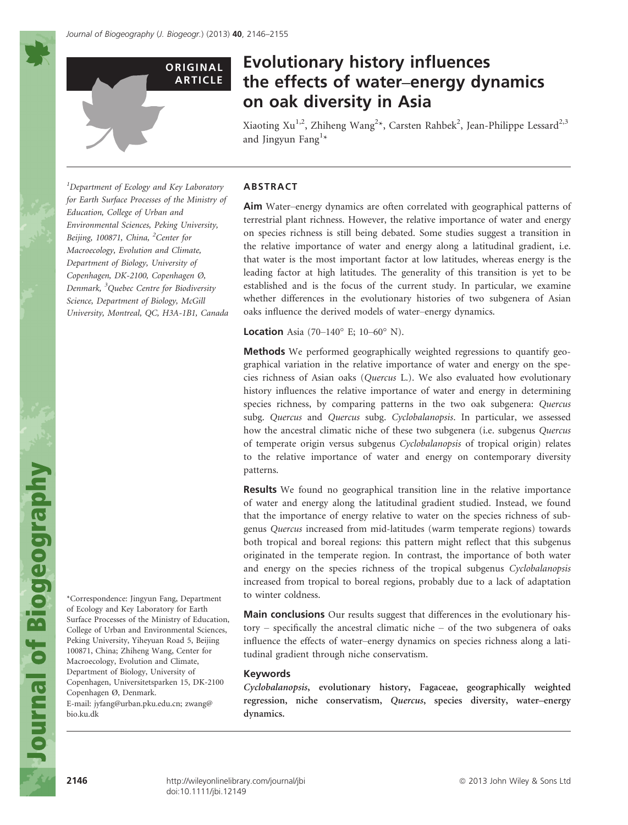

# Evolutionary history influences the effects of water–energy dynamics on oak diversity in Asia

Xiaoting Xu<sup>1,2</sup>, Zhiheng Wang<sup>2</sup>\*, Carsten Rahbek<sup>2</sup>, Jean-Philippe Lessard<sup>2,3</sup> and Jingyun Fang<sup>1\*</sup>

Aim Water–energy dynamics are often correlated with geographical patterns of terrestrial plant richness. However, the relative importance of water and energy on species richness is still being debated. Some studies suggest a transition in the relative importance of water and energy along a latitudinal gradient, i.e. that water is the most important factor at low latitudes, whereas energy is the leading factor at high latitudes. The generality of this transition is yet to be established and is the focus of the current study. In particular, we examine whether differences in the evolutionary histories of two subgenera of Asian

<sup>1</sup>Department of Ecology and Key Laboratory for Earth Surface Processes of the Ministry of Education, College of Urban and Environmental Sciences, Peking University, Beijing, 100871, China, <sup>2</sup>Center for Macroecology, Evolution and Climate, Department of Biology, University of Copenhagen, DK-2100, Copenhagen Ø, Denmark, <sup>3</sup> Quebec Centre for Biodiversity Science, Department of Biology, McGill University, Montreal, QC, H3A-1B1, Canada

Methods We performed geographically weighted regressions to quantify geographical variation in the relative importance of water and energy on the species richness of Asian oaks (Quercus L.). We also evaluated how evolutionary history influences the relative importance of water and energy in determining species richness, by comparing patterns in the two oak subgenera: Quercus subg. Quercus and Quercus subg. Cyclobalanopsis. In particular, we assessed how the ancestral climatic niche of these two subgenera (i.e. subgenus Quercus of temperate origin versus subgenus Cyclobalanopsis of tropical origin) relates to the relative importance of water and energy on contemporary diversity patterns.

oaks influence the derived models of water–energy dynamics.

**Location** Asia (70-140 $^{\circ}$  E; 10-60 $^{\circ}$  N).

Results We found no geographical transition line in the relative importance of water and energy along the latitudinal gradient studied. Instead, we found that the importance of energy relative to water on the species richness of subgenus Quercus increased from mid-latitudes (warm temperate regions) towards both tropical and boreal regions: this pattern might reflect that this subgenus originated in the temperate region. In contrast, the importance of both water and energy on the species richness of the tropical subgenus Cyclobalanopsis increased from tropical to boreal regions, probably due to a lack of adaptation to winter coldness.

Main conclusions Our results suggest that differences in the evolutionary history – specifically the ancestral climatic niche – of the two subgenera of oaks influence the effects of water–energy dynamics on species richness along a latitudinal gradient through niche conservatism.

## Keywords

ABSTRACT

Cyclobalanopsis, evolutionary history, Fagaceae, geographically weighted regression, niche conservatism, Quercus, species diversity, water–energy dynamics.

of Ecology and Key Laboratory for Earth Surface Processes of the Ministry of Education, College of Urban and Environmental Sciences, Peking University, Yiheyuan Road 5, Beijing 100871, China; Zhiheng Wang, Center for Macroecology, Evolution and Climate, Department of Biology, University of Copenhagen, Universitetsparken 15, DK-2100 Copenhagen Ø, Denmark. E-mail: jyfang@urban.pku.edu.cn; zwang@ bio.ku.dk

\*Correspondence: Jingyun Fang, Department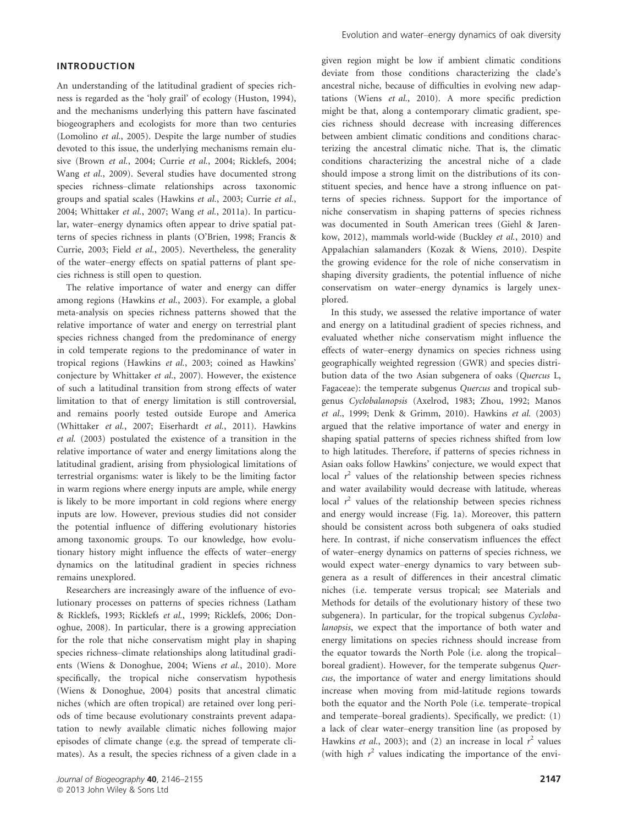## INTRODUCTION

An understanding of the latitudinal gradient of species richness is regarded as the 'holy grail' of ecology (Huston, 1994), and the mechanisms underlying this pattern have fascinated biogeographers and ecologists for more than two centuries (Lomolino et al., 2005). Despite the large number of studies devoted to this issue, the underlying mechanisms remain elusive (Brown et al., 2004; Currie et al., 2004; Ricklefs, 2004; Wang et al., 2009). Several studies have documented strong species richness–climate relationships across taxonomic groups and spatial scales (Hawkins et al., 2003; Currie et al., 2004; Whittaker et al., 2007; Wang et al., 2011a). In particular, water–energy dynamics often appear to drive spatial patterns of species richness in plants (O'Brien, 1998; Francis & Currie, 2003; Field et al., 2005). Nevertheless, the generality of the water–energy effects on spatial patterns of plant species richness is still open to question.

The relative importance of water and energy can differ among regions (Hawkins et al., 2003). For example, a global meta-analysis on species richness patterns showed that the relative importance of water and energy on terrestrial plant species richness changed from the predominance of energy in cold temperate regions to the predominance of water in tropical regions (Hawkins et al., 2003; coined as Hawkins' conjecture by Whittaker et al., 2007). However, the existence of such a latitudinal transition from strong effects of water limitation to that of energy limitation is still controversial, and remains poorly tested outside Europe and America (Whittaker et al., 2007; Eiserhardt et al., 2011). Hawkins et al. (2003) postulated the existence of a transition in the relative importance of water and energy limitations along the latitudinal gradient, arising from physiological limitations of terrestrial organisms: water is likely to be the limiting factor in warm regions where energy inputs are ample, while energy is likely to be more important in cold regions where energy inputs are low. However, previous studies did not consider the potential influence of differing evolutionary histories among taxonomic groups. To our knowledge, how evolutionary history might influence the effects of water–energy dynamics on the latitudinal gradient in species richness remains unexplored.

Researchers are increasingly aware of the influence of evolutionary processes on patterns of species richness (Latham & Ricklefs, 1993; Ricklefs et al., 1999; Ricklefs, 2006; Donoghue, 2008). In particular, there is a growing appreciation for the role that niche conservatism might play in shaping species richness–climate relationships along latitudinal gradients (Wiens & Donoghue, 2004; Wiens et al., 2010). More specifically, the tropical niche conservatism hypothesis (Wiens & Donoghue, 2004) posits that ancestral climatic niches (which are often tropical) are retained over long periods of time because evolutionary constraints prevent adapatation to newly available climatic niches following major episodes of climate change (e.g. the spread of temperate climates). As a result, the species richness of a given clade in a given region might be low if ambient climatic conditions deviate from those conditions characterizing the clade's ancestral niche, because of difficulties in evolving new adaptations (Wiens et al., 2010). A more specific prediction might be that, along a contemporary climatic gradient, species richness should decrease with increasing differences between ambient climatic conditions and conditions characterizing the ancestral climatic niche. That is, the climatic conditions characterizing the ancestral niche of a clade should impose a strong limit on the distributions of its constituent species, and hence have a strong influence on patterns of species richness. Support for the importance of niche conservatism in shaping patterns of species richness was documented in South American trees (Giehl & Jarenkow, 2012), mammals world-wide (Buckley et al., 2010) and Appalachian salamanders (Kozak & Wiens, 2010). Despite the growing evidence for the role of niche conservatism in shaping diversity gradients, the potential influence of niche conservatism on water–energy dynamics is largely unexplored.

In this study, we assessed the relative importance of water and energy on a latitudinal gradient of species richness, and evaluated whether niche conservatism might influence the effects of water–energy dynamics on species richness using geographically weighted regression (GWR) and species distribution data of the two Asian subgenera of oaks (Quercus L, Fagaceae): the temperate subgenus Quercus and tropical subgenus Cyclobalanopsis (Axelrod, 1983; Zhou, 1992; Manos et al., 1999; Denk & Grimm, 2010). Hawkins et al. (2003) argued that the relative importance of water and energy in shaping spatial patterns of species richness shifted from low to high latitudes. Therefore, if patterns of species richness in Asian oaks follow Hawkins' conjecture, we would expect that local  $r^2$  values of the relationship between species richness and water availability would decrease with latitude, whereas local  $r^2$  values of the relationship between species richness and energy would increase (Fig. 1a). Moreover, this pattern should be consistent across both subgenera of oaks studied here. In contrast, if niche conservatism influences the effect of water–energy dynamics on patterns of species richness, we would expect water–energy dynamics to vary between subgenera as a result of differences in their ancestral climatic niches (i.e. temperate versus tropical; see Materials and Methods for details of the evolutionary history of these two subgenera). In particular, for the tropical subgenus Cyclobalanopsis, we expect that the importance of both water and energy limitations on species richness should increase from the equator towards the North Pole (i.e. along the tropical– boreal gradient). However, for the temperate subgenus Quercus, the importance of water and energy limitations should increase when moving from mid-latitude regions towards both the equator and the North Pole (i.e. temperate–tropical and temperate–boreal gradients). Specifically, we predict: (1) a lack of clear water–energy transition line (as proposed by Hawkins et al., 2003); and (2) an increase in local  $r^2$  values (with high  $r^2$  values indicating the importance of the envi-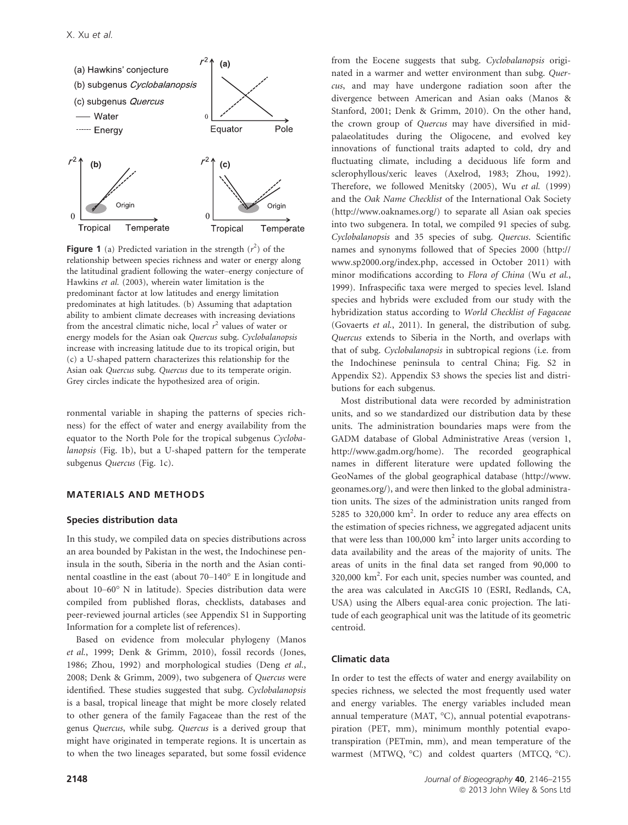

**Figure 1** (a) Predicted variation in the strength  $(r^2)$  of the relationship between species richness and water or energy along the latitudinal gradient following the water–energy conjecture of Hawkins et al. (2003), wherein water limitation is the predominant factor at low latitudes and energy limitation predominates at high latitudes. (b) Assuming that adaptation ability to ambient climate decreases with increasing deviations from the ancestral climatic niche, local  $r^2$  values of water or energy models for the Asian oak Quercus subg. Cyclobalanopsis increase with increasing latitude due to its tropical origin, but (c) a U-shaped pattern characterizes this relationship for the Asian oak Quercus subg. Quercus due to its temperate origin. Grey circles indicate the hypothesized area of origin.

ronmental variable in shaping the patterns of species richness) for the effect of water and energy availability from the equator to the North Pole for the tropical subgenus Cyclobalanopsis (Fig. 1b), but a U-shaped pattern for the temperate subgenus Quercus (Fig. 1c).

### MATERIALS AND METHODS

## Species distribution data

In this study, we compiled data on species distributions across an area bounded by Pakistan in the west, the Indochinese peninsula in the south, Siberia in the north and the Asian continental coastline in the east (about 70–140° E in longitude and about 10–60° N in latitude). Species distribution data were compiled from published floras, checklists, databases and peer-reviewed journal articles (see Appendix S1 in Supporting Information for a complete list of references).

Based on evidence from molecular phylogeny (Manos et al., 1999; Denk & Grimm, 2010), fossil records (Jones, 1986; Zhou, 1992) and morphological studies (Deng et al., 2008; Denk & Grimm, 2009), two subgenera of Quercus were identified. These studies suggested that subg. Cyclobalanopsis is a basal, tropical lineage that might be more closely related to other genera of the family Fagaceae than the rest of the genus Quercus, while subg. Quercus is a derived group that might have originated in temperate regions. It is uncertain as to when the two lineages separated, but some fossil evidence the crown group of Quercus may have diversified in midpalaeolatitudes during the Oligocene, and evolved key innovations of functional traits adapted to cold, dry and fluctuating climate, including a deciduous life form and sclerophyllous/xeric leaves (Axelrod, 1983; Zhou, 1992). Therefore, we followed Menitsky (2005), Wu et al. (1999) and the Oak Name Checklist of the International Oak Society (http://www.oaknames.org/) to separate all Asian oak species into two subgenera. In total, we compiled 91 species of subg. Cyclobalanopsis and 35 species of subg. Quercus. Scientific names and synonyms followed that of Species 2000 (http:// www.sp2000.org/index.php, accessed in October 2011) with minor modifications according to Flora of China (Wu et al., 1999). Infraspecific taxa were merged to species level. Island species and hybrids were excluded from our study with the hybridization status according to World Checklist of Fagaceae (Govaerts et al., 2011). In general, the distribution of subg. Quercus extends to Siberia in the North, and overlaps with that of subg. Cyclobalanopsis in subtropical regions (i.e. from the Indochinese peninsula to central China; Fig. S2 in Appendix S2). Appendix S3 shows the species list and distributions for each subgenus. Most distributional data were recorded by administration units, and so we standardized our distribution data by these units. The administration boundaries maps were from the

from the Eocene suggests that subg. Cyclobalanopsis originated in a warmer and wetter environment than subg. Quercus, and may have undergone radiation soon after the divergence between American and Asian oaks (Manos & Stanford, 2001; Denk & Grimm, 2010). On the other hand,

GADM database of Global Administrative Areas (version 1, http://www.gadm.org/home). The recorded geographical names in different literature were updated following the GeoNames of the global geographical database (http://www. geonames.org/), and were then linked to the global administration units. The sizes of the administration units ranged from 5285 to 320,000 km<sup>2</sup>. In order to reduce any area effects on the estimation of species richness, we aggregated adjacent units that were less than  $100,000$  km<sup>2</sup> into larger units according to data availability and the areas of the majority of units. The areas of units in the final data set ranged from 90,000 to 320,000 km2 . For each unit, species number was counted, and the area was calculated in ArcGIS 10 (ESRI, Redlands, CA, USA) using the Albers equal-area conic projection. The latitude of each geographical unit was the latitude of its geometric

## Climatic data

centroid.

In order to test the effects of water and energy availability on species richness, we selected the most frequently used water and energy variables. The energy variables included mean annual temperature (MAT, °C), annual potential evapotranspiration (PET, mm), minimum monthly potential evapotranspiration (PETmin, mm), and mean temperature of the warmest (MTWQ, °C) and coldest quarters (MTCQ, °C).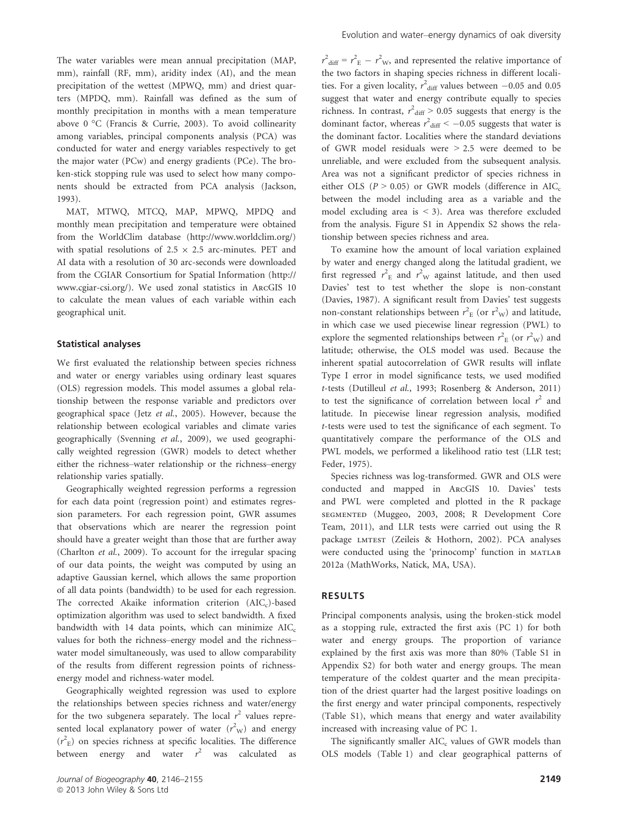The water variables were mean annual precipitation (MAP, mm), rainfall (RF, mm), aridity index (AI), and the mean precipitation of the wettest (MPWQ, mm) and driest quarters (MPDQ, mm). Rainfall was defined as the sum of monthly precipitation in months with a mean temperature above 0 °C (Francis & Currie, 2003). To avoid collinearity among variables, principal components analysis (PCA) was conducted for water and energy variables respectively to get the major water (PCw) and energy gradients (PCe). The broken-stick stopping rule was used to select how many components should be extracted from PCA analysis (Jackson, 1993).

MAT, MTWQ, MTCQ, MAP, MPWQ, MPDQ and monthly mean precipitation and temperature were obtained from the WorldClim database (http://www.worldclim.org/) with spatial resolutions of  $2.5 \times 2.5$  arc-minutes. PET and AI data with a resolution of 30 arc-seconds were downloaded from the CGIAR Consortium for Spatial Information (http:// www.cgiar-csi.org/). We used zonal statistics in ArcGIS 10 to calculate the mean values of each variable within each geographical unit.

## Statistical analyses

We first evaluated the relationship between species richness and water or energy variables using ordinary least squares (OLS) regression models. This model assumes a global relationship between the response variable and predictors over geographical space (Jetz et al., 2005). However, because the relationship between ecological variables and climate varies geographically (Svenning et al., 2009), we used geographically weighted regression (GWR) models to detect whether either the richness–water relationship or the richness–energy relationship varies spatially.

Geographically weighted regression performs a regression for each data point (regression point) and estimates regression parameters. For each regression point, GWR assumes that observations which are nearer the regression point should have a greater weight than those that are further away (Charlton et al., 2009). To account for the irregular spacing of our data points, the weight was computed by using an adaptive Gaussian kernel, which allows the same proportion of all data points (bandwidth) to be used for each regression. The corrected Akaike information criterion  $(AIC<sub>c</sub>)$ -based optimization algorithm was used to select bandwidth. A fixed bandwidth with 14 data points, which can minimize  $AIC_c$ values for both the richness–energy model and the richness– water model simultaneously, was used to allow comparability of the results from different regression points of richnessenergy model and richness-water model.

Geographically weighted regression was used to explore the relationships between species richness and water/energy for the two subgenera separately. The local  $r^2$  values represented local explanatory power of water  $(r^2$ <sub>W</sub>) and energy  $(r<sup>2</sup><sub>E</sub>)$  on species richness at specific localities. The difference between energy and water  $r^2$  was calculated as

 $r^2_{\text{diff}} = r^2_{\text{E}} - r^2_{\text{W}}$ , and represented the relative importance of the two factors in shaping species richness in different localities. For a given locality,  $r^2$ <sub>diff</sub> values between  $-0.05$  and 0.05 suggest that water and energy contribute equally to species richness. In contrast,  $r^2$ <sub>diff</sub> > 0.05 suggests that energy is the dominant factor, whereas  $r^2_{\text{diff}} < -0.05$  suggests that water is the dominant factor. Localities where the standard deviations of GWR model residuals were > 2.5 were deemed to be unreliable, and were excluded from the subsequent analysis. Area was not a significant predictor of species richness in either OLS ( $P > 0.05$ ) or GWR models (difference in AIC<sub>c</sub> between the model including area as a variable and the model excluding area is  $\leq$  3). Area was therefore excluded from the analysis. Figure S1 in Appendix S2 shows the relationship between species richness and area.

To examine how the amount of local variation explained by water and energy changed along the latitudal gradient, we first regressed  $r_{\rm E}^2$  and  $r_{\rm W}^2$  against latitude, and then used Davies' test to test whether the slope is non-constant (Davies, 1987). A significant result from Davies' test suggests non-constant relationships between  $r_{\rm E}^2$  (or  $r_{\rm W}^2$ ) and latitude, in which case we used piecewise linear regression (PWL) to explore the segmented relationships between  $r_{\rm E}^2$  (or  $r_{\rm W}^2$ ) and latitude; otherwise, the OLS model was used. Because the inherent spatial autocorrelation of GWR results will inflate Type I error in model significance tests, we used modified t-tests (Dutilleul et al., 1993; Rosenberg & Anderson, 2011) to test the significance of correlation between local  $r^2$  and latitude. In piecewise linear regression analysis, modified t-tests were used to test the significance of each segment. To quantitatively compare the performance of the OLS and PWL models, we performed a likelihood ratio test (LLR test; Feder, 1975).

Species richness was log-transformed. GWR and OLS were conducted and mapped in ArcGIS 10. Davies' tests and PWL were completed and plotted in the R package segmented (Muggeo, 2003, 2008; R Development Core Team, 2011), and LLR tests were carried out using the R package LMTEST (Zeileis & Hothorn, 2002). PCA analyses were conducted using the 'prinocomp' function in MATLAB 2012a (MathWorks, Natick, MA, USA).

#### RESULTS

Principal components analysis, using the broken-stick model as a stopping rule, extracted the first axis (PC 1) for both water and energy groups. The proportion of variance explained by the first axis was more than 80% (Table S1 in Appendix S2) for both water and energy groups. The mean temperature of the coldest quarter and the mean precipitation of the driest quarter had the largest positive loadings on the first energy and water principal components, respectively (Table S1), which means that energy and water availability increased with increasing value of PC 1.

The significantly smaller  $AIC_c$  values of GWR models than OLS models (Table 1) and clear geographical patterns of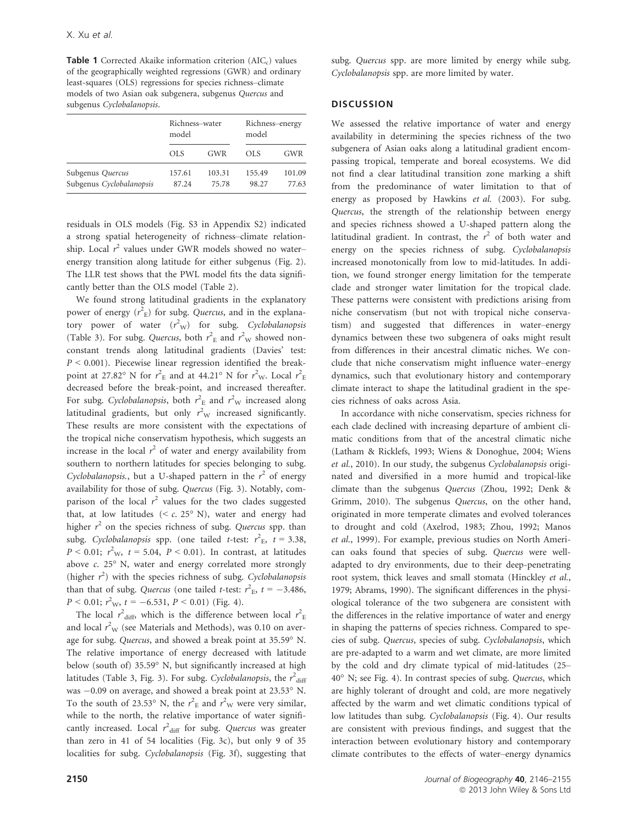**Table 1** Corrected Akaike information criterion  $(AIC<sub>c</sub>)$  values of the geographically weighted regressions (GWR) and ordinary least-squares (OLS) regressions for species richness–climate models of two Asian oak subgenera, subgenus Quercus and subgenus Cyclobalanopsis.

|                                              | Richness-water<br>model |                 | Richness-energy<br>model |                 |
|----------------------------------------------|-------------------------|-----------------|--------------------------|-----------------|
|                                              | OLS.                    | <b>GWR</b>      | OLS.                     | <b>GWR</b>      |
| Subgenus Quercus<br>Subgenus Cyclobalanopsis | 157.61<br>87.24         | 103.31<br>75.78 | 155.49<br>98.27          | 101.09<br>77.63 |

residuals in OLS models (Fig. S3 in Appendix S2) indicated a strong spatial heterogeneity of richness–climate relationship. Local  $r^2$  values under GWR models showed no waterenergy transition along latitude for either subgenus (Fig. 2). The LLR test shows that the PWL model fits the data significantly better than the OLS model (Table 2).

We found strong latitudinal gradients in the explanatory power of energy  $(r<sup>2</sup><sub>E</sub>)$  for subg. *Quercus*, and in the explanatory power of water  $(r^2$ <sub>W</sub>) for subg. Cyclobalanopsis (Table 3). For subg. *Quercus*, both  $r_{\rm E}^2$  and  $r_{\rm W}^2$  showed nonconstant trends along latitudinal gradients (Davies' test:  $P < 0.001$ ). Piecewise linear regression identified the breakpoint at 27.82° N for  $r_{\rm E}^2$  and at 44.21° N for  $r_{\rm W}^2$ . Local  $r_{\rm E}^2$ decreased before the break-point, and increased thereafter. For subg. Cyclobalanopsis, both  $r_{\rm E}^2$  and  $r_{\rm W}^2$  increased along latitudinal gradients, but only  $r^2$ <sub>W</sub> increased significantly. These results are more consistent with the expectations of the tropical niche conservatism hypothesis, which suggests an increase in the local  $r^2$  of water and energy availability from southern to northern latitudes for species belonging to subg. Cyclobalanopsis., but a U-shaped pattern in the  $r^2$  of energy availability for those of subg. Quercus (Fig. 3). Notably, comparison of the local  $r^2$  values for the two clades suggested that, at low latitudes  $(*c*, 25<sup>o</sup> N)$ , water and energy had higher  $r^2$  on the species richness of subg. Quercus spp. than subg. Cyclobalanopsis spp. (one tailed t-test:  $r^2$ <sub>E</sub>,  $t = 3.38$ ,  $P < 0.01$ ;  $r^2$ <sub>W</sub>,  $t = 5.04$ ,  $P < 0.01$ ). In contrast, at latitudes above c. 25° N, water and energy correlated more strongly (higher  $r^2$ ) with the species richness of subg. Cyclobalanopsis than that of subg. Quercus (one tailed *t*-test:  $r_{\rm E}^2$ ,  $t = -3.486$ ,  $P < 0.01$ ;  $r^2$ <sub>W</sub>,  $t = -6.531$ ,  $P < 0.01$ ) (Fig. 4).

The local  $r^2$ <sub>diff</sub>, which is the difference between local  $r^2$ <sub>E</sub> and local  $r_{\rm W}^2$  (see Materials and Methods), was 0.10 on average for subg. Quercus, and showed a break point at 35.59° N. The relative importance of energy decreased with latitude below (south of) 35.59° N, but significantly increased at high latitudes (Table 3, Fig. 3). For subg. *Cyclobalanopsis*, the  $r^2_{\text{diff}}$ was -0.09 on average, and showed a break point at 23.53° N. To the south of 23.53° N, the  $r_{\rm E}^2$  and  $r_{\rm W}^2$  were very similar, while to the north, the relative importance of water significantly increased. Local  $r^2$ <sub>diff</sub> for subg. Quercus was greater than zero in 41 of 54 localities (Fig. 3c), but only 9 of 35 localities for subg. Cyclobalanopsis (Fig. 3f), suggesting that subg. *Quercus* spp. are more limited by energy while subg. Cyclobalanopsis spp. are more limited by water.

## **DISCUSSION**

We assessed the relative importance of water and energy availability in determining the species richness of the two subgenera of Asian oaks along a latitudinal gradient encompassing tropical, temperate and boreal ecosystems. We did not find a clear latitudinal transition zone marking a shift from the predominance of water limitation to that of energy as proposed by Hawkins et al. (2003). For subg. Quercus, the strength of the relationship between energy and species richness showed a U-shaped pattern along the latitudinal gradient. In contrast, the  $r^2$  of both water and energy on the species richness of subg. Cyclobalanopsis increased monotonically from low to mid-latitudes. In addition, we found stronger energy limitation for the temperate clade and stronger water limitation for the tropical clade. These patterns were consistent with predictions arising from niche conservatism (but not with tropical niche conservatism) and suggested that differences in water–energy dynamics between these two subgenera of oaks might result from differences in their ancestral climatic niches. We conclude that niche conservatism might influence water–energy dynamics, such that evolutionary history and contemporary climate interact to shape the latitudinal gradient in the species richness of oaks across Asia.

In accordance with niche conservatism, species richness for each clade declined with increasing departure of ambient climatic conditions from that of the ancestral climatic niche (Latham & Ricklefs, 1993; Wiens & Donoghue, 2004; Wiens et al., 2010). In our study, the subgenus Cyclobalanopsis originated and diversified in a more humid and tropical-like climate than the subgenus Quercus (Zhou, 1992; Denk & Grimm, 2010). The subgenus Quercus, on the other hand, originated in more temperate climates and evolved tolerances to drought and cold (Axelrod, 1983; Zhou, 1992; Manos et al., 1999). For example, previous studies on North American oaks found that species of subg. Quercus were welladapted to dry environments, due to their deep-penetrating root system, thick leaves and small stomata (Hinckley et al., 1979; Abrams, 1990). The significant differences in the physiological tolerance of the two subgenera are consistent with the differences in the relative importance of water and energy in shaping the patterns of species richness. Compared to species of subg. Quercus, species of subg. Cyclobalanopsis, which are pre-adapted to a warm and wet climate, are more limited by the cold and dry climate typical of mid-latitudes (25– 40° N; see Fig. 4). In contrast species of subg. Quercus, which are highly tolerant of drought and cold, are more negatively affected by the warm and wet climatic conditions typical of low latitudes than subg. Cyclobalanopsis (Fig. 4). Our results are consistent with previous findings, and suggest that the interaction between evolutionary history and contemporary climate contributes to the effects of water–energy dynamics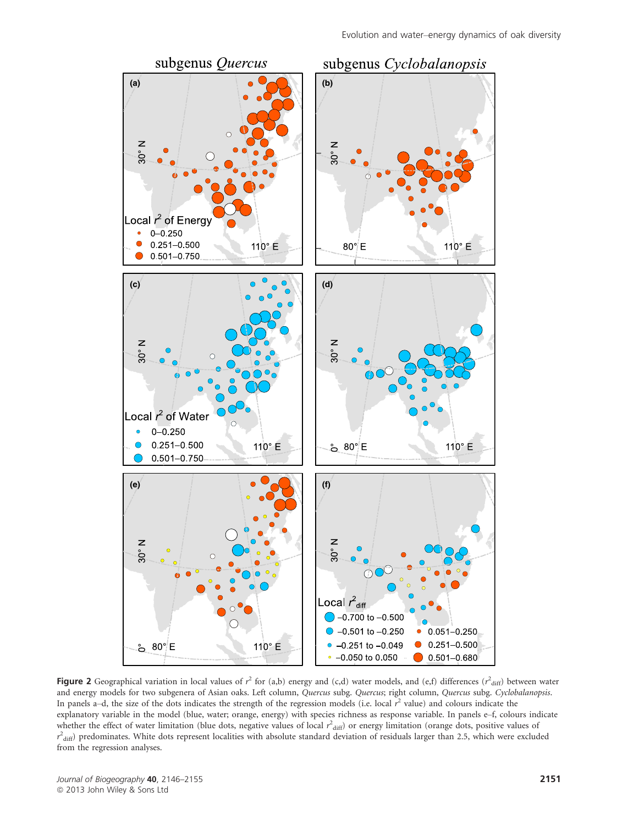

Figure 2 Geographical variation in local values of  $r^2$  for (a,b) energy and (c,d) water models, and (e,f) differences ( $r^2$ <sub>diff</sub>) between water and energy models for two subgenera of Asian oaks. Left column, Quercus subg. Quercus; right column, Quercus subg. Cyclobalanopsis. In panels a-d, the size of the dots indicates the strength of the regression models (i.e. local  $r^2$  value) and colours indicate the explanatory variable in the model (blue, water; orange, energy) with species richness as response variable. In panels e–f, colours indicate whether the effect of water limitation (blue dots, negative values of local  $r^2$ <sub>diff</sub>) or energy limitation (orange dots, positive values of  $r^2_{\text{diff}}$ ) predominates. White dots represent localities with absolute standard deviation of residuals larger than 2.5, which were excluded from the regression analyses.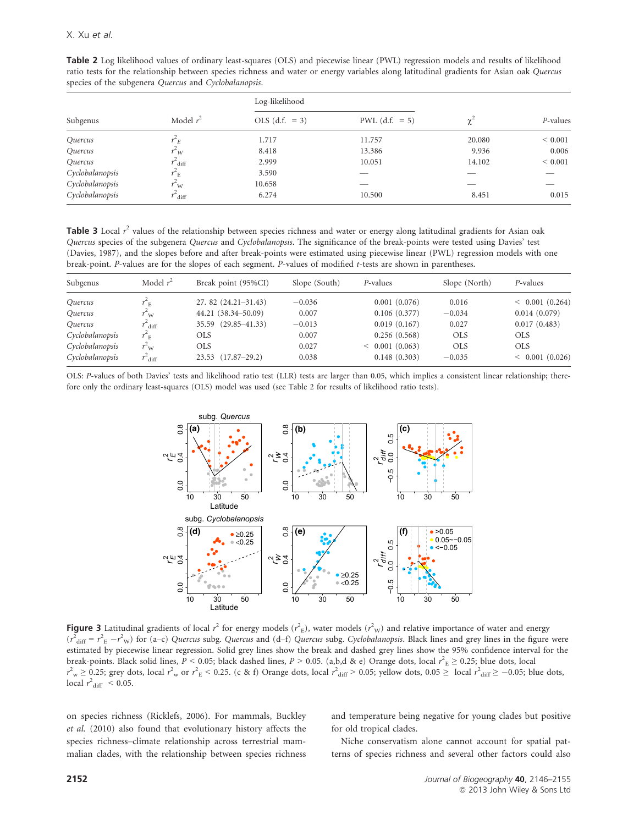| Subgenus        | opecies of the subgenera guerens and operorumnopsis.<br>Model $r^2$ | Log-likelihood   |                  |          |             |
|-----------------|---------------------------------------------------------------------|------------------|------------------|----------|-------------|
|                 |                                                                     | OLS $(d.f. = 3)$ | PWL $(d.f. = 5)$ | $\chi^2$ | P-values    |
| Quercus         | $r^2$ <sub>E</sub>                                                  | 1.717            | 11.757           | 20.080   | ${}< 0.001$ |
| Quercus         | $r^2_W$                                                             | 8.418            | 13.386           | 9.936    | 0.006       |
| Quercus         | $r^2$ diff                                                          | 2.999            | 10.051           | 14.102   | ${}< 0.001$ |
| Cyclobalanopsis | $r_{\rm E}$                                                         | 3.590            | __               |          |             |
| Cyclobalanopsis | $r_{\rm w}$                                                         | 10.658           | __               | __       | _           |
| Cyclobalanopsis | $r^4$ diff                                                          | 6.274            | 10.500           | 8.451    | 0.015       |

Table 2 Log likelihood values of ordinary least-squares (OLS) and piecewise linear (PWL) regression models and results of likelihood ratio tests for the relationship between species richness and water or energy variables along latitudinal gradients for Asian oak Quercus species of the subgenera *Quercus* and *Cyclobalanopsis* 

Table 3 Local  $r^2$  values of the relationship between species richness and water or energy along latitudinal gradients for Asian oak Quercus species of the subgenera Quercus and Cyclobalanopsis. The significance of the break-points were tested using Davies' test (Davies, 1987), and the slopes before and after break-points were estimated using piecewise linear (PWL) regression models with one break-point. P-values are for the slopes of each segment. P-values of modified t-tests are shown in parentheses.

| Subgenus                     | Model $r^2$                | Break point (95%CI)    | Slope (South) | P-values       | Slope (North) | P-values             |
|------------------------------|----------------------------|------------------------|---------------|----------------|---------------|----------------------|
| <i><u><b>Ouercus</b></u></i> | $r_{\rm E}$                | 27.82 (24.21-31.43)    | $-0.036$      | 0.001(0.076)   | 0.016         | < 0.001(0.264)       |
| Quercus                      | $\sim_{\rm W}$             | 44.21 (38.34–50.09)    | 0.007         | 0.106(0.377)   | $-0.034$      | 0.014(0.079)         |
| Quercus                      | $\overline{\mathrm{diff}}$ | 35.59 (29.85-41.33)    | $-0.013$      | 0.019(0.167)   | 0.027         | 0.017(0.483)         |
| Cyclobalanopsis              | $r_{\rm E}$                | OLS                    | 0.007         | 0.256(0.568)   | <b>OLS</b>    | <b>OLS</b>           |
| Cyclobalanopsis              | r"w                        | OLS.                   | 0.027         | < 0.001(0.063) | <b>OLS</b>    | <b>OLS</b>           |
| Cyclobalanopsis              | $r_{\rm diff}$             | $23.53$ $(17.87-29.2)$ | 0.038         | 0.148(0.303)   | $-0.035$      | $\leq$ 0.001 (0.026) |

OLS: P-values of both Davies' tests and likelihood ratio test (LLR) tests are larger than 0.05, which implies a consistent linear relationship; therefore only the ordinary least-squares (OLS) model was used (see Table 2 for results of likelihood ratio tests).



Figure 3 Latitudinal gradients of local  $r^2$  for energy models ( $r^2$ <sub>E</sub>), water models ( $r^2$ <sub>W</sub>) and relative importance of water and energy  $(r^2_{\text{diff}} = r^2_{\text{E}} - r^2_{\text{W}})$  for (a–c) Quercus subg. Quercus and (d–f) Quercus subg. Cyclobalanopsis. Black lines and grey lines in the figure were estimated by piecewise linear regression. Solid grey lines show the break and dashed grey lines show the 95% confidence interval for the break-points. Black solid lines,  $P < 0.05$ ; black dashed lines,  $P > 0.05$ . (a,b,d & e) Orange dots, local  $r^2$ <sub>E</sub>  $\geq 0.25$ ; blue dots, local  $r_{\text{w}}^2 \ge 0.25$ ; grey dots, local  $r_{\text{w}}^2$  or  $r_{\text{E}}^2$  < 0.25. (c & f) Orange dots, local  $r_{\text{diff}}^2$  > 0.05; yellow dots, 0.05  $\ge$  local  $r_{\text{diff}}^2 \ge -0.05$ ; blue dots, local  $r^2$ <sub>diff</sub> < 0.05.

on species richness (Ricklefs, 2006). For mammals, Buckley et al. (2010) also found that evolutionary history affects the species richness–climate relationship across terrestrial mammalian clades, with the relationship between species richness

and temperature being negative for young clades but positive for old tropical clades.

Niche conservatism alone cannot account for spatial patterns of species richness and several other factors could also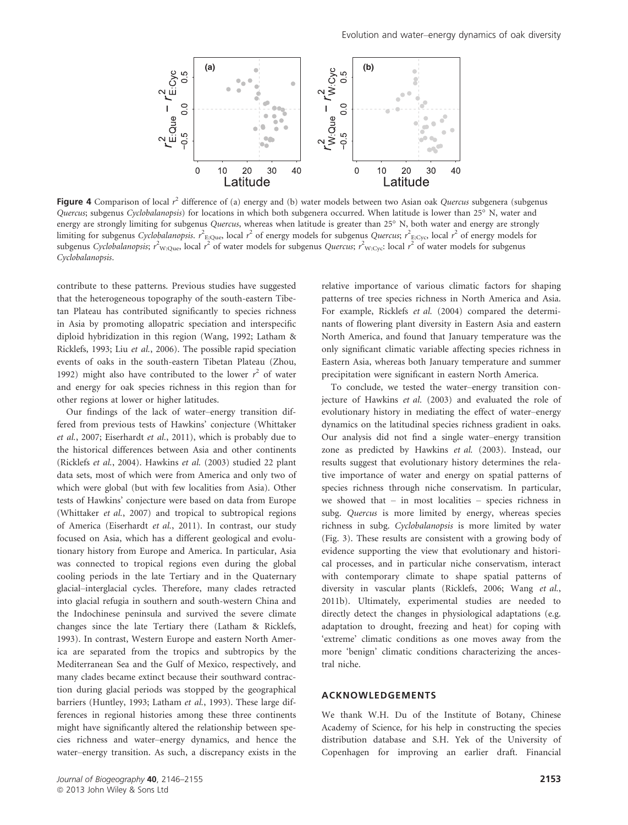

Figure 4 Comparison of local  $r^2$  difference of (a) energy and (b) water models between two Asian oak Quercus subgenera (subgenus Quercus; subgenus Cyclobalanopsis) for locations in which both subgenera occurred. When latitude is lower than 25° N, water and energy are strongly limiting for subgenus Quercus, whereas when latitude is greater than 25° N, both water and energy are strongly limiting for subgenus Cyclobalanopsis.  $r^2$ <sub>E:Que</sub>, local  $r^2$  of energy models for subgenus Quercus;  $r^2$ <sub>E:Cyc</sub>, local  $r^2$  of energy models for subgenus Cyclobalanopsis;  $r^2_{\text{W:Que}}$  local  $r^2$  of water models for subgenus Quercus;  $r^2_{\text{W: Cyc}}$ : local  $r^2$  of water models for subgenus Cyclobalanopsis.

contribute to these patterns. Previous studies have suggested that the heterogeneous topography of the south-eastern Tibetan Plateau has contributed significantly to species richness in Asia by promoting allopatric speciation and interspecific diploid hybridization in this region (Wang, 1992; Latham & Ricklefs, 1993; Liu et al., 2006). The possible rapid speciation events of oaks in the south-eastern Tibetan Plateau (Zhou, 1992) might also have contributed to the lower  $r^2$  of water and energy for oak species richness in this region than for other regions at lower or higher latitudes.

Our findings of the lack of water–energy transition differed from previous tests of Hawkins' conjecture (Whittaker et al., 2007; Eiserhardt et al., 2011), which is probably due to the historical differences between Asia and other continents (Ricklefs et al., 2004). Hawkins et al. (2003) studied 22 plant data sets, most of which were from America and only two of which were global (but with few localities from Asia). Other tests of Hawkins' conjecture were based on data from Europe (Whittaker et al., 2007) and tropical to subtropical regions of America (Eiserhardt et al., 2011). In contrast, our study focused on Asia, which has a different geological and evolutionary history from Europe and America. In particular, Asia was connected to tropical regions even during the global cooling periods in the late Tertiary and in the Quaternary glacial–interglacial cycles. Therefore, many clades retracted into glacial refugia in southern and south-western China and the Indochinese peninsula and survived the severe climate changes since the late Tertiary there (Latham & Ricklefs, 1993). In contrast, Western Europe and eastern North America are separated from the tropics and subtropics by the Mediterranean Sea and the Gulf of Mexico, respectively, and many clades became extinct because their southward contraction during glacial periods was stopped by the geographical barriers (Huntley, 1993; Latham et al., 1993). These large differences in regional histories among these three continents might have significantly altered the relationship between species richness and water–energy dynamics, and hence the water–energy transition. As such, a discrepancy exists in the relative importance of various climatic factors for shaping patterns of tree species richness in North America and Asia. For example, Ricklefs et al. (2004) compared the determinants of flowering plant diversity in Eastern Asia and eastern North America, and found that January temperature was the only significant climatic variable affecting species richness in Eastern Asia, whereas both January temperature and summer precipitation were significant in eastern North America.

To conclude, we tested the water–energy transition conjecture of Hawkins et al. (2003) and evaluated the role of evolutionary history in mediating the effect of water–energy dynamics on the latitudinal species richness gradient in oaks. Our analysis did not find a single water–energy transition zone as predicted by Hawkins et al. (2003). Instead, our results suggest that evolutionary history determines the relative importance of water and energy on spatial patterns of species richness through niche conservatism. In particular, we showed that – in most localities – species richness in subg. Quercus is more limited by energy, whereas species richness in subg. Cyclobalanopsis is more limited by water (Fig. 3). These results are consistent with a growing body of evidence supporting the view that evolutionary and historical processes, and in particular niche conservatism, interact with contemporary climate to shape spatial patterns of diversity in vascular plants (Ricklefs, 2006; Wang et al., 2011b). Ultimately, experimental studies are needed to directly detect the changes in physiological adaptations (e.g. adaptation to drought, freezing and heat) for coping with 'extreme' climatic conditions as one moves away from the more 'benign' climatic conditions characterizing the ancestral niche.

## ACKNOWLEDGEMENTS

We thank W.H. Du of the Institute of Botany, Chinese Academy of Science, for his help in constructing the species distribution database and S.H. Yek of the University of Copenhagen for improving an earlier draft. Financial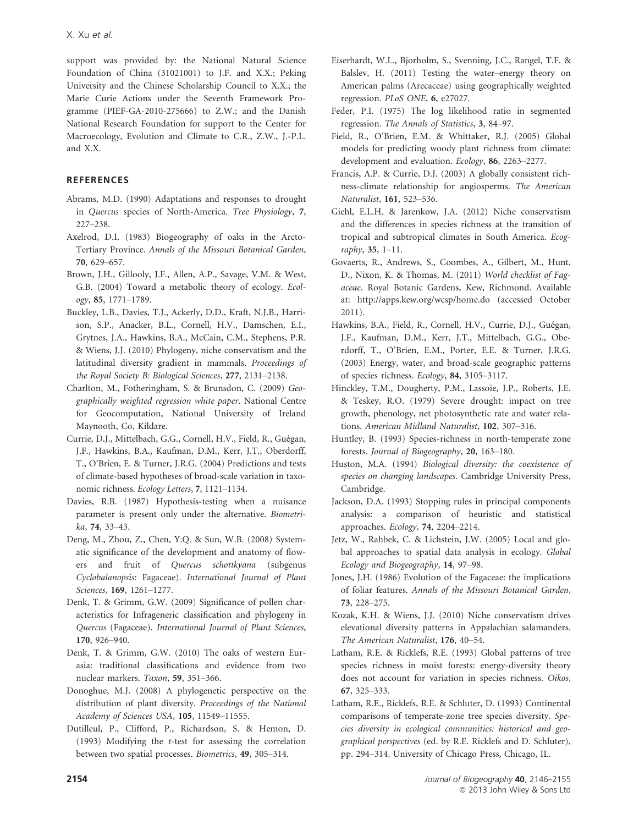support was provided by: the National Natural Science Foundation of China (31021001) to J.F. and X.X.; Peking University and the Chinese Scholarship Council to X.X.; the Marie Curie Actions under the Seventh Framework Programme (PIEF-GA-2010-275666) to Z.W.; and the Danish National Research Foundation for support to the Center for Macroecology, Evolution and Climate to C.R., Z.W., J.-P.L. and X.X.

## **REFERENCES**

- Abrams, M.D. (1990) Adaptations and responses to drought in Quercus species of North-America. Tree Physiology, 7, 227–238.
- Axelrod, D.I. (1983) Biogeography of oaks in the Arcto-Tertiary Province. Annals of the Missouri Botanical Garden, 70, 629–657.
- Brown, J.H., Gillooly, J.F., Allen, A.P., Savage, V.M. & West, G.B. (2004) Toward a metabolic theory of ecology. Ecology, 85, 1771–1789.
- Buckley, L.B., Davies, T.J., Ackerly, D.D., Kraft, N.J.B., Harrison, S.P., Anacker, B.L., Cornell, H.V., Damschen, E.I., Grytnes, J.A., Hawkins, B.A., McCain, C.M., Stephens, P.R. & Wiens, J.J. (2010) Phylogeny, niche conservatism and the latitudinal diversity gradient in mammals. Proceedings of the Royal Society B: Biological Sciences, 277, 2131–2138.
- Charlton, M., Fotheringham, S. & Brunsdon, C. (2009) Geographically weighted regression white paper. National Centre for Geocomputation, National University of Ireland Maynooth, Co, Kildare.
- Currie, D.J., Mittelbach, G.G., Cornell, H.V., Field, R., Guégan, J.F., Hawkins, B.A., Kaufman, D.M., Kerr, J.T., Oberdorff, T., O'Brien, E. & Turner, J.R.G. (2004) Predictions and tests of climate-based hypotheses of broad-scale variation in taxonomic richness. Ecology Letters, 7, 1121–1134.
- Davies, R.B. (1987) Hypothesis-testing when a nuisance parameter is present only under the alternative. Biometrika, 74, 33–43.
- Deng, M., Zhou, Z., Chen, Y.Q. & Sun, W.B. (2008) Systematic significance of the development and anatomy of flowers and fruit of Quercus schottkyana (subgenus Cyclobalanopsis: Fagaceae). International Journal of Plant Sciences, 169, 1261–1277.
- Denk, T. & Grimm, G.W. (2009) Significance of pollen characteristics for Infrageneric classification and phylogeny in Quercus (Fagaceae). International Journal of Plant Sciences, 170, 926–940.
- Denk, T. & Grimm, G.W. (2010) The oaks of western Eurasia: traditional classifications and evidence from two nuclear markers. Taxon, 59, 351–366.
- Donoghue, M.J. (2008) A phylogenetic perspective on the distribution of plant diversity. Proceedings of the National Academy of Sciences USA, 105, 11549–11555.
- Dutilleul, P., Clifford, P., Richardson, S. & Hemon, D. (1993) Modifying the t-test for assessing the correlation between two spatial processes. Biometrics, 49, 305–314.
- Eiserhardt, W.L., Bjorholm, S., Svenning, J.C., Rangel, T.F. & Balslev, H. (2011) Testing the water–energy theory on American palms (Arecaceae) using geographically weighted regression. PLoS ONE, 6, e27027.
- Feder, P.I. (1975) The log likelihood ratio in segmented regression. The Annals of Statistics, 3, 84–97.
- Field, R., O'Brien, E.M. & Whittaker, R.J. (2005) Global models for predicting woody plant richness from climate: development and evaluation. Ecology, 86, 2263–2277.
- Francis, A.P. & Currie, D.J. (2003) A globally consistent richness-climate relationship for angiosperms. The American Naturalist, 161, 523–536.
- Giehl, E.L.H. & Jarenkow, J.A. (2012) Niche conservatism and the differences in species richness at the transition of tropical and subtropical climates in South America. Ecography, 35, 1–11.
- Govaerts, R., Andrews, S., Coombes, A., Gilbert, M., Hunt, D., Nixon, K. & Thomas, M. (2011) World checklist of Fagaceae. Royal Botanic Gardens, Kew, Richmond. Available at: http://apps.kew.org/wcsp/home.do (accessed October 2011).
- Hawkins, B.A., Field, R., Cornell, H.V., Currie, D.J., Guégan, J.F., Kaufman, D.M., Kerr, J.T., Mittelbach, G.G., Oberdorff, T., O'Brien, E.M., Porter, E.E. & Turner, J.R.G. (2003) Energy, water, and broad-scale geographic patterns of species richness. Ecology, 84, 3105–3117.
- Hinckley, T.M., Dougherty, P.M., Lassoie, J.P., Roberts, J.E. & Teskey, R.O. (1979) Severe drought: impact on tree growth, phenology, net photosynthetic rate and water relations. American Midland Naturalist, 102, 307–316.
- Huntley, B. (1993) Species-richness in north-temperate zone forests. Journal of Biogeography, 20, 163–180.
- Huston, M.A. (1994) Biological diversity: the coexistence of species on changing landscapes. Cambridge University Press, Cambridge.
- Jackson, D.A. (1993) Stopping rules in principal components analysis: a comparison of heuristic and statistical approaches. Ecology, 74, 2204–2214.
- Jetz, W., Rahbek, C. & Lichstein, J.W. (2005) Local and global approaches to spatial data analysis in ecology. Global Ecology and Biogeography, 14, 97–98.
- Jones, J.H. (1986) Evolution of the Fagaceae: the implications of foliar features. Annals of the Missouri Botanical Garden, 73, 228–275.
- Kozak, K.H. & Wiens, J.J. (2010) Niche conservatism drives elevational diversity patterns in Appalachian salamanders. The American Naturalist, 176, 40–54.
- Latham, R.E. & Ricklefs, R.E. (1993) Global patterns of tree species richness in moist forests: energy-diversity theory does not account for variation in species richness. Oikos, 67, 325–333.
- Latham, R.E., Ricklefs, R.E. & Schluter, D. (1993) Continental comparisons of temperate-zone tree species diversity. Species diversity in ecological communities: historical and geographical perspectives (ed. by R.E. Ricklefs and D. Schluter), pp. 294–314. University of Chicago Press, Chicago, IL.